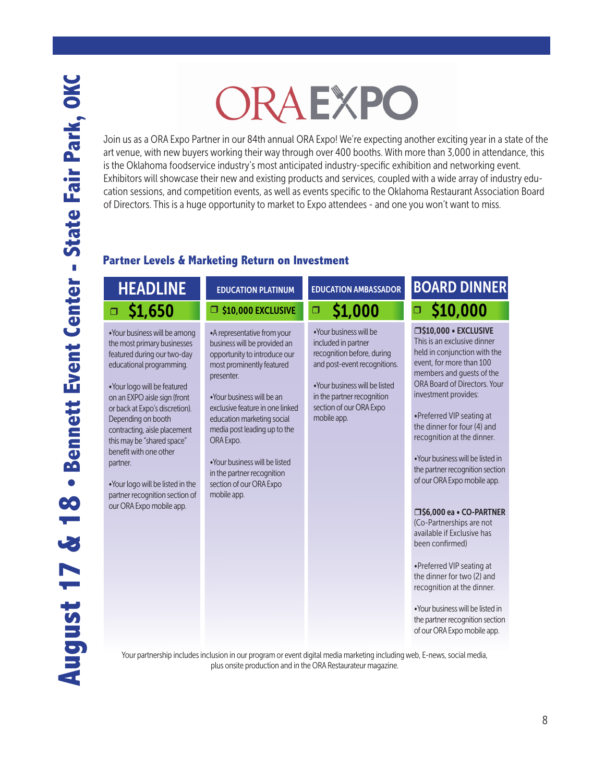# ORAEXPO

Join us as a ORA Expo Partner in our 84th annual ORA Expo! We're expecting another exciting year in a state of the art venue, with new buyers working their way through over 400 booths. With more than 3,000 in attendance, this is the Oklahoma foodservice industry's most anticipated industry-specific exhibition and networking event. Exhibitors will showcase their new and existing products and services, coupled with a wide array of industry education sessions, and competition events, as well as events specific to the Oklahoma Restaurant Association Board of Directors. This is a huge opportunity to market to Expo attendees - and one you won't want to miss.

### **Partner Levels & Marketing Return on Investment**

## HEADLINE EDUCATION PLATINUM EDUCATION AMBASSADOR  $\Box$  \$1,650  $\Box$  \$10,000 EXCLUSIVE  $\Box$  \$1,000  $\Box$  \$10,000

•Your business will be among the most primary businesses featured during our two-day educational programming.

•Your logo will be featured on an EXPO aisle sign (front or back at Expo's discretion). Depending on booth contracting, aisle placement this may be "shared space" benefit with one other partner.

•Your logo will be listed in the partner recognition section of our ORA Expo mobile app.

#### •A representative from your business will be provided an opportunity to introduce our most prominently featured presenter.

EDUCATION PLATINUM

S10,000 EXCLUSIVE

•Your business will be an exclusive feature in one linked education marketing social media post leading up to the ORA Expo.

•Your business will be listed in the partner recognition section of our ORA Expo mobile app.

### $\overline{\phantom{0}}$  \$1,000  $\overline{\phantom{0}}$   $\overline{\phantom{0}}$

•Your business will be included in partner recognition before, during and post-event recognitions.

•Your business will be listed in the partner recognition section of our ORA Expo mobile app.

## BOARD DINNER

r\$10,000 • EXCLUSIVE This is an exclusive dinner held in conjunction with the event, for more than 100 members and guests of the ORA Board of Directors. Your investment provides:

•Preferred VIP seating at the dinner for four (4) and recognition at the dinner.

•Your business will be listed in the partner recognition section of our ORA Expo mobile app.

#### □\$6,000 ea • CO-PARTNER

(Co-Partnerships are not available if Exclusive has been confirmed)

•Preferred VIP seating at the dinner for two (2) and recognition at the dinner.

•Your business will be listed in the partner recognition section of our ORA Expo mobile app.

Your partnership includes inclusion in our program or event digital media marketing including web, E-news, social media, plus onsite production and in the ORA Restaurateur magazine.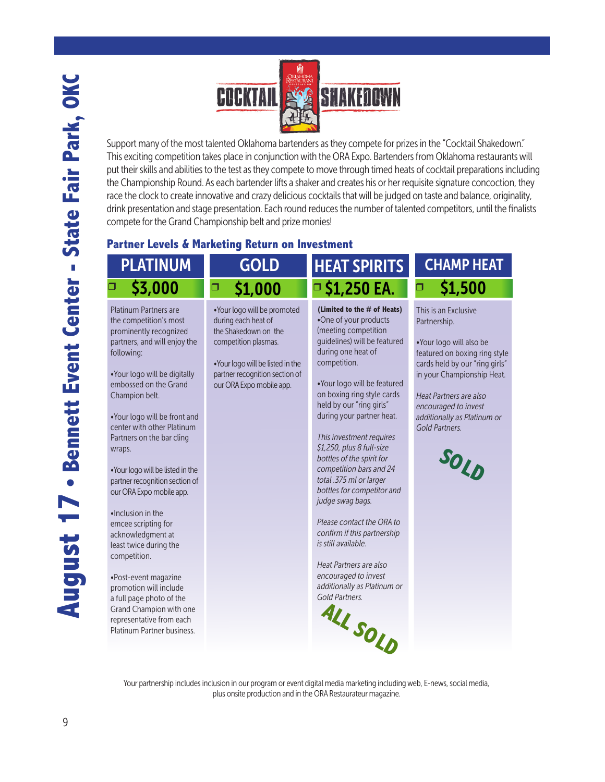

Support many of the most talented Oklahoma bartenders as they compete for prizes in the "Cocktail Shakedown." This exciting competition takes place in conjunction with the ORA Expo. Bartenders from Oklahoma restaurants will put their skills and abilities to the test as they compete to move through timed heats of cocktail preparations including the Championship Round. As each bartender lifts a shaker and creates his or her requisite signature concoction, they race the clock to create innovative and crazy delicious cocktails that will be judged on taste and balance, originality, drink presentation and stage presentation. Each round reduces the number of talented competitors, until the finalists compete for the Grand Championship belt and prize monies!

#### **Partner Levels & Marketing Return on Investment**

### PLATINUM \$3,000

Platinum Partners are the competition's most prominently recognized partners, and will enjoy the following:

•Your logo will be digitally embossed on the Grand Champion belt.

•Your logo will be front and center with other Platinum Partners on the bar cling wraps.

•Your logo will be listed in the partner recognition section of our ORA Expo mobile app.

•Inclusion in the emcee scripting for acknowledgment at least twice during the competition.

•Post-event magazine promotion will include a full page photo of the Grand Champion with one representative from each Platinum Partner business.

## GOLD \$1,000

•Your logo will be promoted during each heat of the Shakedown on the competition plasmas.

•Your logo will be listed in the partner recognition section of our ORA Expo mobile app.

## □ \$3,000 □ \$1,000 □ \$1,250 EA. □ \$1,500 HEAT SPIRITS

**(Limited to the # of Heats)** •One of your products (meeting competition guidelines) will be featured during one heat of competition.

•Your logo will be featured on boxing ring style cards held by our "ring girls" during your partner heat.

*This investment requires \$1,250, plus 8 full-size bottles of the spirit for competition bars and 24 total .375 ml or larger bottles for competitor and judge swag bags.* 

*Please contact the ORA to confirm if this partnership is still available.*

*Heat Partners are also encouraged to invest additionally as Platinum or Gold Partners.* 



## CHAMP HEAT

This is an Exclusive Partnership.

•Your logo will also be featured on boxing ring style cards held by our "ring girls" in your Championship Heat.

*Heat Partners are also encouraged to invest additionally as Platinum or Gold Partners.*

**SOLD**

Your partnership includes inclusion in our program or event digital media marketing including web, E-news, social media, plus onsite production and in the ORA Restaurateur magazine.